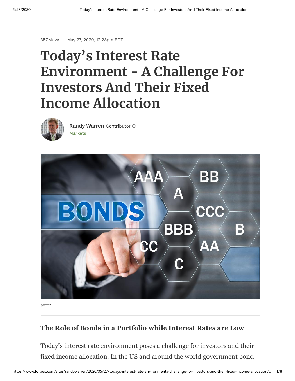357 views | May 27, 2020, 12:28pm EDT

# **Today's Interest Rate Environment - A Challenge For Investors And Their Fixed Income Allocation**



[Markets](https://www.forbes.com/markets) **[Randy Warren](https://www.forbes.com/sites/randywarren/)** Contributor



**GETTY** 

#### **The Role of Bonds in a Portfolio while Interest Rates are Low**

Today's interest rate environment poses a challenge for investors and their fixed income allocation. In the US and around the world government bond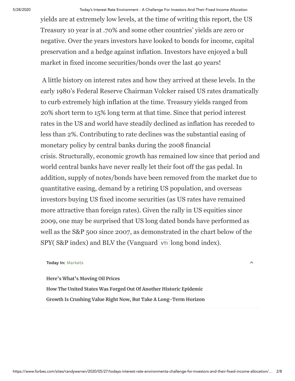5/28/2020 Today's Interest Rate Environment - A Challenge For Investors And Their Fixed Income Allocation

yields are at extremely low levels, at the time of writing this report, the US Treasury 10 year is at .70% and some other countries' yields are zero or negative. Over the years investors have looked to bonds for income, capital preservation and a hedge against inflation. Investors have enjoyed a bull market in fixed income securities/bonds over the last 40 years!

 A little history on interest rates and how they arrived at these levels. In the early 1980's Federal Reserve Chairman Volcker raised US rates dramatically to curb extremely high inflation at the time. Treasury yields ranged from 20% short term to 15% long term at that time. Since that period interest rates in the US and world have steadily declined as inflation has receded to less than 2%. Contributing to rate declines was the substantial easing of monetary policy by central banks during the 2008 financial crisis. Structurally, economic growth has remained low since that period and world central banks have never really let their foot off the gas pedal. In addition, supply of notes/bonds have been removed from the market due to quantitative easing, demand by a retiring US population, and overseas investors buying US fixed income securities (as US rates have remained more attractive than foreign rates). Given the rally in US equities since 2009, one may be surprised that US long dated bonds have performed as well as the S&P 500 since 2007, as demonstrated in the chart below of the  $SPY(S\&P\text{ index})$  and BLV the (Vanguard  $\overline{VT}$  long bond index).

#### **Today In:** [Markets](https://www.forbes.com/markets)

**[Here's What's Moving Oil Prices](https://www.forbes.com/sites/naeemaslam/2020/05/28/heres-whats-moving-oil-prices/) [How The United States Was Forged Out Of Another Historic Epidemic](https://www.forbes.com/sites/pedrodacosta/2020/05/28/how-the-united-states-was-forged-out-of-another-historic-epidemic/) [Growth Is Crushing Value Right Now, But Take A Long-Term Horizon](https://www.forbes.com/sites/greatspeculations/2020/05/27/growth-is-crushing-value-right-now-but-take-a-long-term-horizon/)**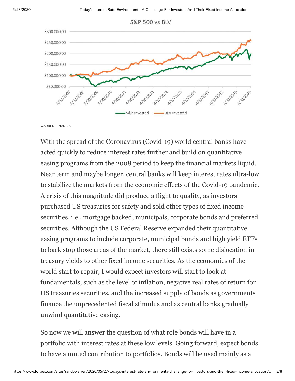

WARREN FINANCIAL

With the spread of the Coronavirus (Covid-19) world central banks have acted quickly to reduce interest rates further and build on quantitative easing programs from the 2008 period to keep the financial markets liquid. Near term and maybe longer, central banks will keep interest rates ultra-low to stabilize the markets from the economic effects of the Covid-19 pandemic. A crisis of this magnitude did produce a flight to quality, as investors purchased US treasuries for safety and sold other types of fixed income securities, i.e., mortgage backed, municipals, corporate bonds and preferred securities. Although the US Federal Reserve expanded their quantitative easing programs to include corporate, municipal bonds and high yield ETFs to back stop those areas of the market, there still exists some dislocation in treasury yields to other fixed income securities. As the economies of the world start to repair, I would expect investors will start to look at fundamentals, such as the level of inflation, negative real rates of return for US treasuries securities, and the increased supply of bonds as governments finance the unprecedented fiscal stimulus and as central banks gradually unwind quantitative easing.

So now we will answer the question of what role bonds will have in a portfolio with interest rates at these low levels. Going forward, expect bonds to have a muted contribution to portfolios. Bonds will be used mainly as a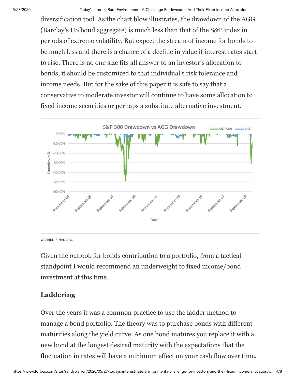diversification tool. As the chart blow illustrates, the drawdown of the AGG (Barclay's US bond aggregate) is much less than that of the S&P index in periods of extreme volatility. But expect the stream of income for bonds to be much less and there is a chance of a decline in value if interest rates start to rise. There is no one size fits all answer to an investor's allocation to bonds, it should be customized to that individual's risk tolerance and income needs. But for the sake of this paper it is safe to say that a conservative to moderate investor will continue to have some allocation to fixed income securities or perhaps a substitute alternative investment.



WARREN FINANCIAL

Given the outlook for bonds contribution to a portfolio, from a tactical standpoint I would recommend an underweight to fixed income/bond investment at this time.

# **Laddering**

Over the years it was a common practice to use the ladder method to manage a bond portfolio. The theory was to purchase bonds with different maturities along the yield curve. As one bond matures you replace it with a new bond at the longest desired maturity with the expectations that the fluctuation in rates will have a minimum effect on your cash flow over time.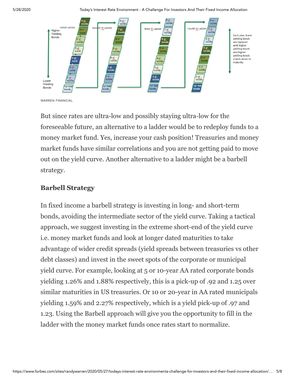5/28/2020 Today's Interest Rate Environment - A Challenge For Investors And Their Fixed Income Allocation



WARREN FINANCIAL

But since rates are ultra-low and possibly staying ultra-low for the foreseeable future, an alternative to a ladder would be to redeploy funds to a money market fund. Yes, increase your cash position! Treasuries and money market funds have similar correlations and you are not getting paid to move out on the yield curve. Another alternative to a ladder might be a barbell strategy.

### **Barbell Strategy**

In fixed income a barbell strategy is investing in long- and short-term bonds, avoiding the intermediate sector of the yield curve. Taking a tactical approach, we suggest investing in the extreme short-end of the yield curve i.e. money market funds and look at longer dated maturities to take advantage of wider credit spreads (yield spreads between treasuries vs other debt classes) and invest in the sweet spots of the corporate or municipal yield curve. For example, looking at 5 or 10-year AA rated corporate bonds yielding 1.26% and 1.88% respectively, this is a pick-up of .92 and 1.25 over similar maturities in US treasuries. Or 10 or 20-year in AA rated municipals yielding 1.59% and 2.27% respectively, which is a yield pick-up of .97 and 1.23. Using the Barbell approach will give you the opportunity to fill in the ladder with the money market funds once rates start to normalize.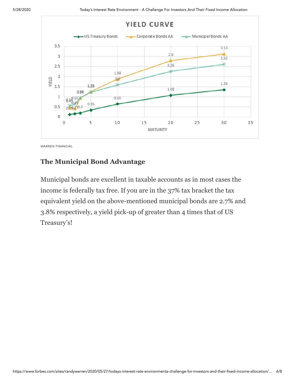

WARREN FINANCIAL

### **The Municipal Bond Advantage**

Municipal bonds are excellent in taxable accounts as in most cases the income is federally tax free. If you are in the 37% tax bracket the tax equivalent yield on the above-mentioned municipal bonds are 2.7% and 3.8% respectively, a yield pick-up of greater than 4 times that of US Treasury's!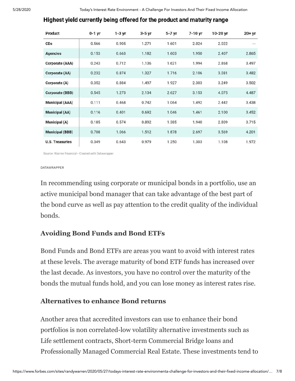#### Highest yield currently being offered for the product and maturity range

| Product                | $0-1$ yr | $1-3$ yr | $3-5$ yr | $5-7$ yr | 7-10 yr | 10-20 yr | $20+yr$ |
|------------------------|----------|----------|----------|----------|---------|----------|---------|
| CDs                    | 0.566    | 0.905    | 1.271    | 1.601    | 2.024   | 2.022    | ---     |
| <b>Agencies</b>        | 0.153    | 0.663    | 1.182    | 1.603    | 1.950   | 2.407    | 2.865   |
| <b>Corporate (AAA)</b> | 0.243    | 0.712    | 1.136    | 1.621    | 1.994   | 2.868    | 3.497   |
| Corporate (AA)         | 0.232    | 0.874    | 1.327    | 1.716    | 2.106   | 3.081    | 3.482   |
| Corporate (A)          | 0.352    | 0.884    | 1.497    | 1.927    | 2.303   | 3.249    | 3.502   |
| Corporate (BBB)        | 0.545    | 1.273    | 2.134    | 2.627    | 3.153   | 4.075    | 4.487   |
| <b>Municipal (AAA)</b> | 0.111    | 0.468    | 0.742    | 1.064    | 1.492   | 2.442    | 3.438   |
| <b>Municipal (AA)</b>  | 0.116    | 0.401    | 0.692    | 1.046    | 1.461   | 2.100    | 3.452   |
| Municipal (A)          | 0.185    | 0.574    | 0.892    | 1.385    | 1.940   | 2.809    | 3.715   |
| <b>Municipal (BBB)</b> | 0.708    | 1.066    | 1.512    | 1.878    | 2.697   | 3.569    | 4.201   |
| <b>U.S. Treasuries</b> | 0.349    | 0.643    | 0.979    | 1.250    | 1.303   | 1.108    | 1.972   |

Source: Warren Financial · Created with Datawrapper

DATAWRAPPER

In recommending using corporate or municipal bonds in a portfolio, use an active municipal bond manager that can take advantage of the best part of the bond curve as well as pay attention to the credit quality of the individual bonds.

# **Avoiding Bond Funds and Bond ETFs**

Bond Funds and Bond ETFs are areas you want to avoid with interest rates at these levels. The average maturity of bond ETF funds has increased over the last decade. As investors, you have no control over the maturity of the bonds the mutual funds hold, and you can lose money as interest rates rise.

# **Alternatives to enhance Bond returns**

Another area that accredited investors can use to enhance their bond portfolios is non correlated-low volatility alternative investments such as Life settlement contracts, Short-term Commercial Bridge loans and Professionally Managed Commercial Real Estate. These investments tend to